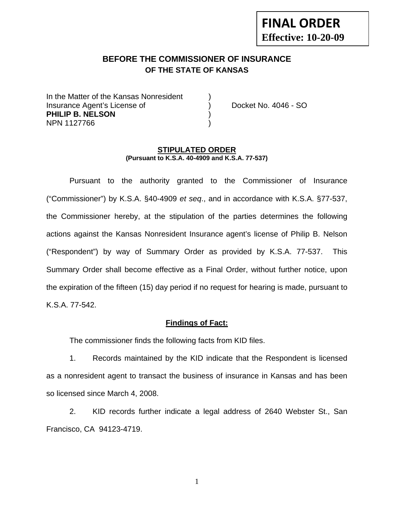# **FINAL ORDER Effective: 10-20-09**

## **BEFORE THE COMMISSIONER OF INSURANCE OF THE STATE OF KANSAS**

In the Matter of the Kansas Nonresident Insurance Agent's License of ) Docket No. 4046 - SO **PHILIP B. NELSON** ) NPN 1127766 )

#### **STIPULATED ORDER (Pursuant to K.S.A. 40-4909 and K.S.A. 77-537)**

 Pursuant to the authority granted to the Commissioner of Insurance ("Commissioner") by K.S.A. §40-4909 *et seq*., and in accordance with K.S.A. §77-537, the Commissioner hereby, at the stipulation of the parties determines the following actions against the Kansas Nonresident Insurance agent's license of Philip B. Nelson ("Respondent") by way of Summary Order as provided by K.S.A. 77-537. This Summary Order shall become effective as a Final Order, without further notice, upon the expiration of the fifteen (15) day period if no request for hearing is made, pursuant to K.S.A. 77-542.

#### **Findings of Fact:**

The commissioner finds the following facts from KID files.

 1. Records maintained by the KID indicate that the Respondent is licensed as a nonresident agent to transact the business of insurance in Kansas and has been so licensed since March 4, 2008.

 2. KID records further indicate a legal address of 2640 Webster St., San Francisco, CA 94123-4719.

1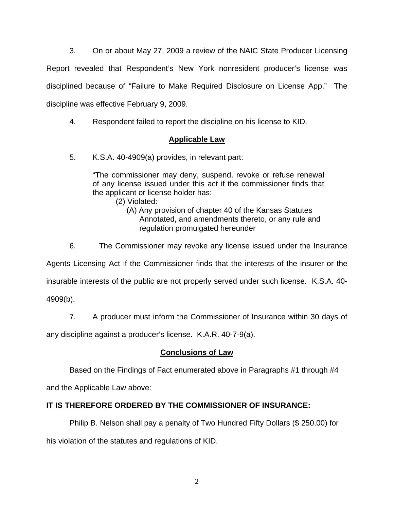3. On or about May 27, 2009 a review of the NAIC State Producer Licensing Report revealed that Respondent's New York nonresident producer's license was disciplined because of "Failure to Make Required Disclosure on License App." The discipline was effective February 9, 2009.

4. Respondent failed to report the discipline on his license to KID.

## **Applicable Law**

5. K.S.A. 40-4909(a) provides, in relevant part:

"The commissioner may deny, suspend, revoke or refuse renewal of any license issued under this act if the commissioner finds that the applicant or license holder has:

(2) Violated:

- (A) Any provision of chapter 40 of the Kansas Statutes Annotated, and amendments thereto, or any rule and regulation promulgated hereunder
- 6. The Commissioner may revoke any license issued under the Insurance

Agents Licensing Act if the Commissioner finds that the interests of the insurer or the

insurable interests of the public are not properly served under such license. K.S.A. 40-

4909(b).

7. A producer must inform the Commissioner of Insurance within 30 days of

any discipline against a producer's license. K.A.R. 40-7-9(a).

#### **Conclusions of Law**

Based on the Findings of Fact enumerated above in Paragraphs #1 through #4

and the Applicable Law above:

## **IT IS THEREFORE ORDERED BY THE COMMISSIONER OF INSURANCE:**

 Philip B. Nelson shall pay a penalty of Two Hundred Fifty Dollars (\$ 250.00) for his violation of the statutes and regulations of KID.

2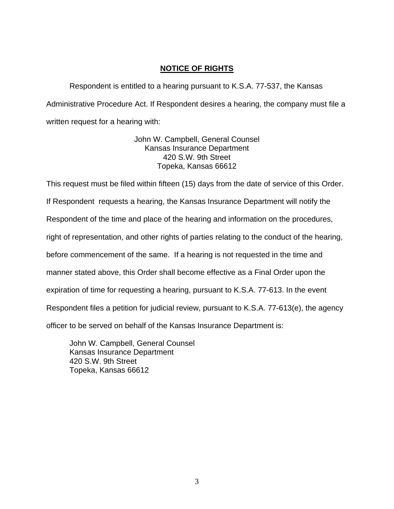## **NOTICE OF RIGHTS**

 Respondent is entitled to a hearing pursuant to K.S.A. 77-537, the Kansas Administrative Procedure Act. If Respondent desires a hearing, the company must file a written request for a hearing with:

> John W. Campbell, General Counsel Kansas Insurance Department 420 S.W. 9th Street Topeka, Kansas 66612

This request must be filed within fifteen (15) days from the date of service of this Order. If Respondent requests a hearing, the Kansas Insurance Department will notify the Respondent of the time and place of the hearing and information on the procedures, right of representation, and other rights of parties relating to the conduct of the hearing, before commencement of the same. If a hearing is not requested in the time and manner stated above, this Order shall become effective as a Final Order upon the expiration of time for requesting a hearing, pursuant to K.S.A. 77-613. In the event Respondent files a petition for judicial review, pursuant to K.S.A. 77-613(e), the agency officer to be served on behalf of the Kansas Insurance Department is:

John W. Campbell, General Counsel Kansas Insurance Department 420 S.W. 9th Street Topeka, Kansas 66612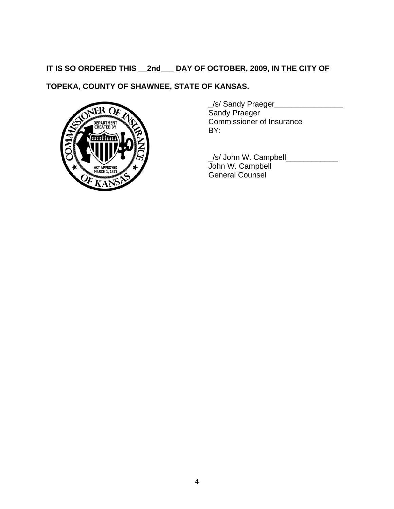# **IT IS SO ORDERED THIS \_\_2nd\_\_\_ DAY OF OCTOBER, 2009, IN THE CITY OF**

# **TOPEKA, COUNTY OF SHAWNEE, STATE OF KANSAS.**



\_/s/ Sandy Praeger\_\_\_\_\_\_\_\_\_\_\_\_\_\_\_\_ Sandy Praeger Commissioner of Insurance BY:

\_/s/ John W. Campbell\_\_\_\_\_\_\_\_\_\_\_\_ John W. Campbell General Counsel